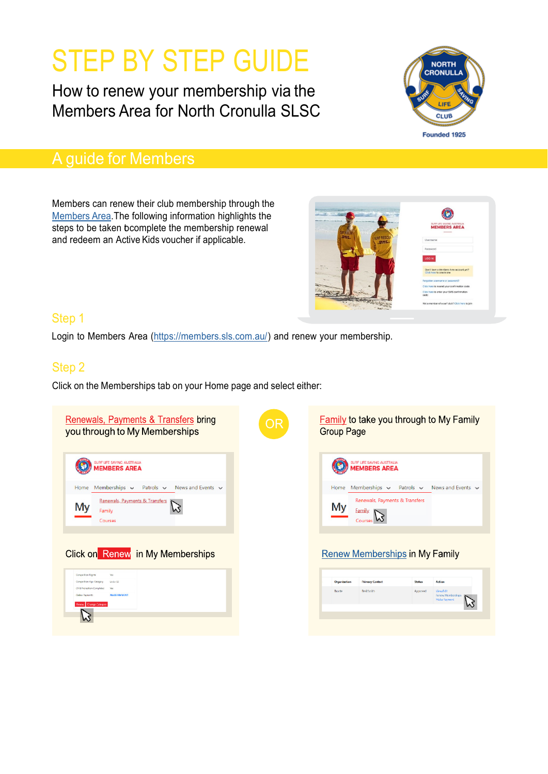# STEP BY STEP GUIDE

How to renew your membership via the Members Area for North Cronulla SLSC



## A guide for Members

Members can renew their club membership through the [Members](https://members.sls.com.au/) Area.The following information highlights the steps to be taken bcomplete the membership renewal and redeem an Active Kids voucher if applicable.



### Step 1

Login to Members Area [\(https://members.sls.com.au/\)](https://members.sls.com.au/) and renew your membership.

### Step 2

Click on the Memberships tab on your Home page and select either:

| <b>Renewals, Payments &amp; Transfers bring</b><br>you through to My Memberships                                                                                                                                                                 | OR | <b>Family to take you through to My Family</b><br><b>Group Page</b>                                                                                                                                            |
|--------------------------------------------------------------------------------------------------------------------------------------------------------------------------------------------------------------------------------------------------|----|----------------------------------------------------------------------------------------------------------------------------------------------------------------------------------------------------------------|
| <b>IRF LIFE SAVING AUSTRALIA</b><br><b>EMBERS AREA</b><br>Memberships $\vee$<br>Patrols $\sim$<br>News and Events $\sim$<br>Home<br>Renewals, Payments & Transfers<br>My<br>Family<br>Courses                                                    |    | SURF LIFE SAVING AUSTRALIA<br><b>IEMBERS AREA</b><br>Memberships $\sim$<br>Patrols $\sim$ News and Events $\sim$<br>Home<br>Renewals, Payments & Transfers<br>My<br>Family<br><b>Courses</b>                   |
| <b>Click on Renew in My Memberships</b><br><b>Competition Rights</b><br><b>Yes</b><br><b>Competition Age Category</b><br>Under 13<br>Child Protection Completed<br>Ves<br>Oalina Payments<br><b>MAKE PAYMENT</b><br><b>Innew Change Category</b> |    | <b>Renew Memberships in My Family</b><br>Action<br>Organisation<br><b>Primary Contact</b><br><b>Status</b><br><b>Basil Smith</b><br>ViewFdit<br>Bronte<br>Approved<br><b>Benew Memberships</b><br>Make Payment |
|                                                                                                                                                                                                                                                  |    |                                                                                                                                                                                                                |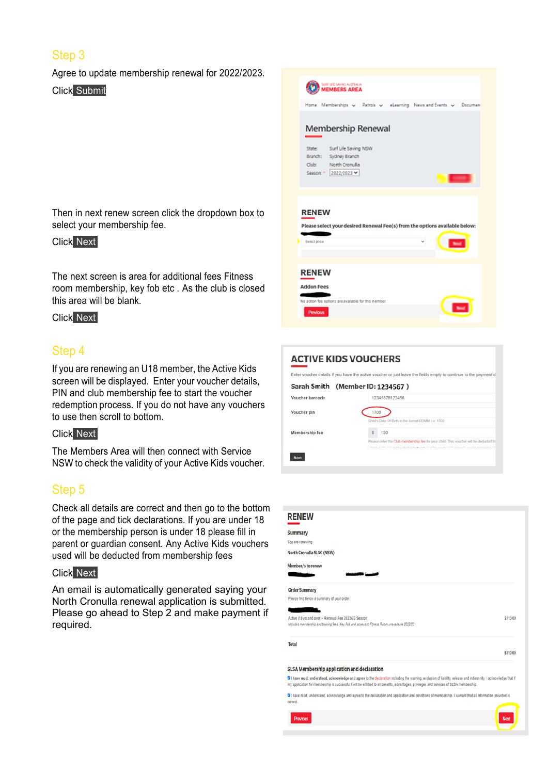### Step 3

Agree to update membership renewal for 2022/2023. Click Submit

Then in next renew screen click the dropdown box to select your membership fee.

#### Click Next

The next screen is area for additional fees Fitness room membership, key fob etc . As the club is closed this area will be blank.

### Click Next

### Step 4

If you are renewing an U18 member, the Active Kids screen will be displayed. Enter your voucher details, PIN and club membership fee to start the voucher redemption process. If you do not have any vouchers to use then scroll to bottom.

#### Click Next

The Members Area will then connect with Service NSW to check the validity of your Active Kids voucher.

### Step 5

Check all details are correct and then go to the bottom of the page and tick declarations. If you are under 18 or the membership person is under 18 please fill in parent or guardian consent. Any Active Kids vouchers used will be deducted from membership fees

### Click Next

An email is automatically generated saying your North Cronulla renewal application is submitted. Please go ahead to Step 2 and make payment if required.



| <b>ACTIVE KIDS VOUCHERS</b>      |                                                                                                           |
|----------------------------------|-----------------------------------------------------------------------------------------------------------|
|                                  | Enter voucher details if you have the active voucher or just leave the fields empty to continue to the pa |
| Sarah Smith (Member ID: 1234567) |                                                                                                           |
| Voucher barcode                  | 12345678123456                                                                                            |
| Voucher pin                      | 1706                                                                                                      |
|                                  | Child's Date Of Birth in the format DDMM i.e. 1503                                                        |

\$ 130

| <b>RENEW</b>                                                                                                                                          |          |
|-------------------------------------------------------------------------------------------------------------------------------------------------------|----------|
| <b>Summary</b>                                                                                                                                        |          |
| You are renewing                                                                                                                                      |          |
| North Cronulla SLSC (NSW)                                                                                                                             |          |
| Member/s to renew                                                                                                                                     |          |
|                                                                                                                                                       |          |
| <b>Order Summary</b>                                                                                                                                  |          |
| Please find below a summary of your order.                                                                                                            |          |
|                                                                                                                                                       |          |
| Active (18yrs and over) - Renewal Fee 2022/23 Season<br>Includes membership and training fees. Key Fob and access to Fitness Room unavailable 2022/23 | \$110.00 |
| Total                                                                                                                                                 |          |
|                                                                                                                                                       | \$110.00 |
| SLSA Membership application and declaration                                                                                                           |          |

C I have read, understood, acknowledge and agree to the declaration including the warning, exclusion of liability, release and indermnity. I acknowledge that if my application for membership is successful I will be entitled to all benefits, advantages, privileges and services of SLSA membership.

[2] I have read, understand, acknowledge and agree to the declaration and application and conditions of membership. I warrant that all information provided is

correct Previous

Membership fee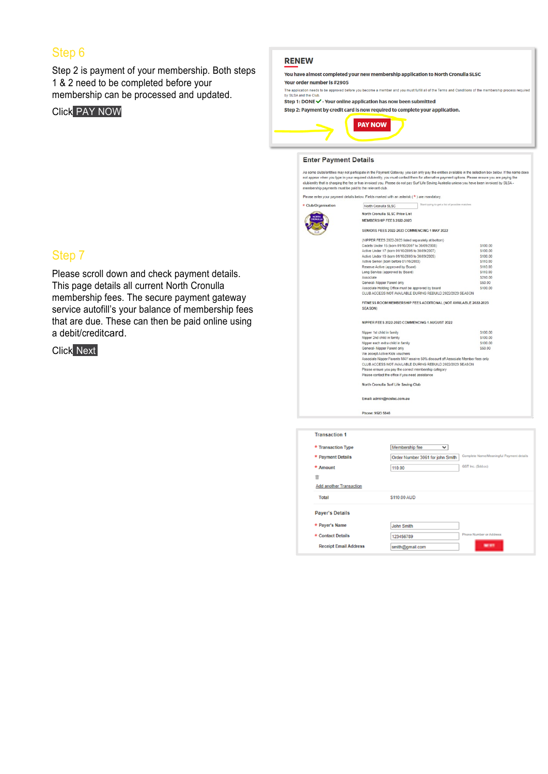### Step 6

Step 2 is payment of your membership. Both steps 1 & 2 need to be completed before your membership can be processed and updated.

#### Click PAY NOW

#### **RENEW**

You have almost completed your new membership application to North Cronulla SLSC

#### Your order number is #2905

The application needs to be approved before you become a member and you must fulfill all of the Terms and Conditions of the membership process re

Step 1: DONE  $\checkmark$  - Your online application has now been submitted

Step 2: Payment by credit card is now reguired to complete your application.



#### **Enter Payment Details**

As some clubs/entities may not participate in the Payment Gateway, you can only pay the entities available in the selection box below. If the name does<br>not appear when you type in your required club/entity, you must contac

Please enter your payment details below. Fields marked with an asterisk  $(*)$  are mandatory.

\* Club/Organisation North Cronulla SLSC

> North Cronulla SLSC Price List MEMBERSHIP FEES 2022-2023

| NORTH |  |
|-------|--|
|       |  |
|       |  |
|       |  |

SENIORS FEES 2022-2023 COMMENCING 1 MAY 2022

| (NIPPER FEES 2022-2023 listed separately at bottom)                                                             |          |
|-----------------------------------------------------------------------------------------------------------------|----------|
| Cadets Under 15 (born 01/10/2007 to 30/09/2008)                                                                 | \$100.00 |
| Active Under 17 (born 01/10/2005 to 30/09/2007)                                                                 | \$100.00 |
| Active Under 19 (born 01/10/2003 to 30/09/2005)                                                                 | \$100.00 |
| Active Senior (born before 01/10/2003)                                                                          | \$110.00 |
| Reserve Active (approved by Board)                                                                              | \$110.00 |
| Long Service (approved by Board)                                                                                | \$110.00 |
| Associate                                                                                                       | \$210.00 |
| General- Nipper Parent only                                                                                     | \$50.00  |
| Associate Holding Office must be approved by board<br>CLUB ACCESS NOT AVAILABLE DURING REBUILD 2022/2023 SEASON | \$100.00 |
|                                                                                                                 |          |

FITNESS ROOM MEMBERSHIP FEES ADDITIONAL (NOT AVAILABLE 2022-2023

SEA SON)

#### NIPPER FEES 2022-2023 COMMENCING 1 AUGUST 2022

| Nipper 1st child in family                                                        | \$100.00 |
|-----------------------------------------------------------------------------------|----------|
| Nipper 2nd child in family                                                        | \$100.00 |
| Nipper each extra child in family                                                 | \$100.00 |
| General- Nipper Parent only                                                       | \$50.00  |
| We accept Active Kids vouchers                                                    |          |
| Associate Nipper Parents MAY receive 50% discount off Associate Member fees only. |          |
| CLUB ACCESS NOT AVAILABLE DURING REBUILD 2022/2023 SEASON                         |          |
| Please ensure you pay the correct membership category                             |          |
| Please contact the office if you need assistance                                  |          |
|                                                                                   |          |

North Cronulla Surf Life Saving Club

Email: admin@ncslsc.com.au

Phone: 9523 5846

| <b>Transaction 1</b>           |                                  |                                          |
|--------------------------------|----------------------------------|------------------------------------------|
| * Transaction Type             | Membership fee<br>$\checkmark$   |                                          |
| * Payment Details              | Order Number 3061 for john Smith | Complete Name/Meaningful Payment details |
| * Amount                       | 110.00                           | GST Inc. (\$dd.cc)                       |
| 言                              |                                  |                                          |
| <b>Add another Transaction</b> |                                  |                                          |
| Total                          | \$110.00 AUD                     |                                          |
| <b>Payer's Details</b>         |                                  |                                          |
| * Payer's Name                 | <b>John Smith</b>                |                                          |
| * Contact Details              | 123456789                        | Phone Number or Address                  |
| <b>Receipt Email Address</b>   | smith@gmail.com                  | --                                       |

### Step 7

Please scroll down and check payment details. This page details all current North Cronulla membership fees. The secure payment gateway service autofill's your balance of membership fees that are due. These can then be paid online using a debit/creditcard.

Click Next